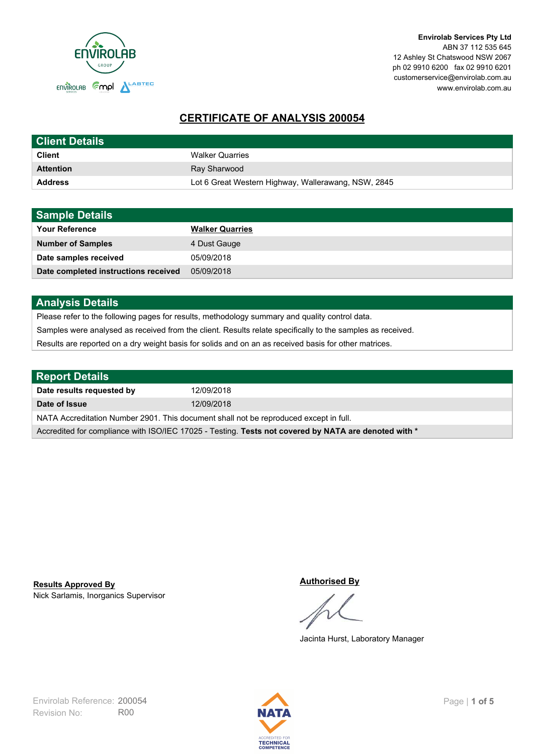

# **CERTIFICATE OF ANALYSIS 200054**

| <b>Client Details</b> |                                                     |
|-----------------------|-----------------------------------------------------|
| <b>Client</b>         | <b>Walker Quarries</b>                              |
| <b>Attention</b>      | Ray Sharwood                                        |
| <b>Address</b>        | Lot 6 Great Western Highway, Wallerawang, NSW, 2845 |

| <b>Sample Details</b>                |                        |
|--------------------------------------|------------------------|
| <b>Your Reference</b>                | <b>Walker Quarries</b> |
| <b>Number of Samples</b>             | 4 Dust Gauge           |
| Date samples received                | 05/09/2018             |
| Date completed instructions received | 05/09/2018             |

## **Analysis Details**

Please refer to the following pages for results, methodology summary and quality control data.

Samples were analysed as received from the client. Results relate specifically to the samples as received.

Results are reported on a dry weight basis for solids and on an as received basis for other matrices.

| <b>Report Details</b>                                                                                |            |  |
|------------------------------------------------------------------------------------------------------|------------|--|
| Date results requested by                                                                            | 12/09/2018 |  |
| Date of Issue                                                                                        | 12/09/2018 |  |
| NATA Accreditation Number 2901. This document shall not be reproduced except in full.                |            |  |
| Accredited for compliance with ISO/IEC 17025 - Testing. Tests not covered by NATA are denoted with * |            |  |

Nick Sarlamis, Inorganics Supervisor **Results Approved By**

#### **Authorised By**

Jacinta Hurst, Laboratory Manager

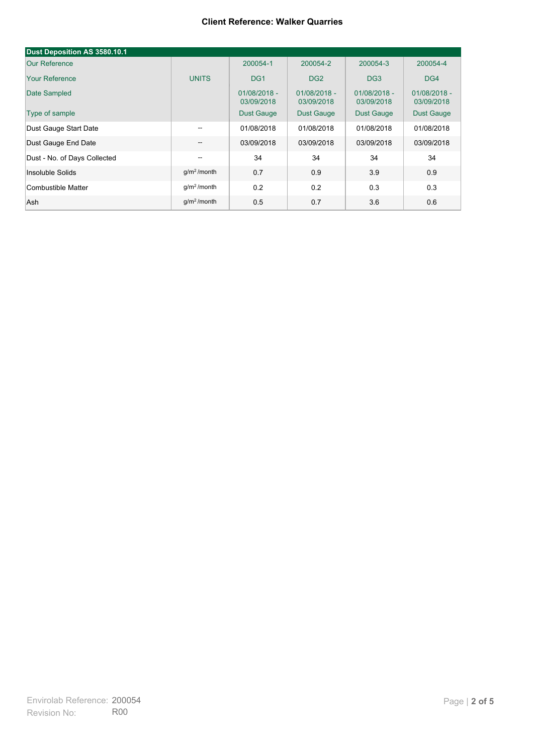## **Client Reference: Walker Quarries**

| Dust Deposition AS 3580.10.1 |                                       |                              |                              |                              |                              |
|------------------------------|---------------------------------------|------------------------------|------------------------------|------------------------------|------------------------------|
| <b>Our Reference</b>         |                                       | 200054-1                     | 200054-2                     | 200054-3                     | 200054-4                     |
| <b>Your Reference</b>        | <b>UNITS</b>                          | DG <sub>1</sub>              | DG <sub>2</sub>              | DG <sub>3</sub>              | DG4                          |
| Date Sampled                 |                                       | $01/08/2018 -$<br>03/09/2018 | $01/08/2018 -$<br>03/09/2018 | $01/08/2018 -$<br>03/09/2018 | $01/08/2018 -$<br>03/09/2018 |
| Type of sample               |                                       | <b>Dust Gauge</b>            | Dust Gauge                   | Dust Gauge                   | <b>Dust Gauge</b>            |
| Dust Gauge Start Date        | $-$                                   | 01/08/2018                   | 01/08/2018                   | 01/08/2018                   | 01/08/2018                   |
| Dust Gauge End Date          | $\hspace{0.05cm}$ – $\hspace{0.05cm}$ | 03/09/2018                   | 03/09/2018                   | 03/09/2018                   | 03/09/2018                   |
| Dust - No. of Days Collected | $\hspace{0.05cm} -$                   | 34                           | 34                           | 34                           | 34                           |
| Insoluble Solids             | $q/m2$ /month                         | 0.7                          | 0.9                          | 3.9                          | 0.9                          |
| Combustible Matter           | $q/m2$ /month                         | 0.2                          | 0.2                          | 0.3                          | 0.3                          |
| Ash                          | $g/m2$ /month                         | 0.5                          | 0.7                          | 3.6                          | 0.6                          |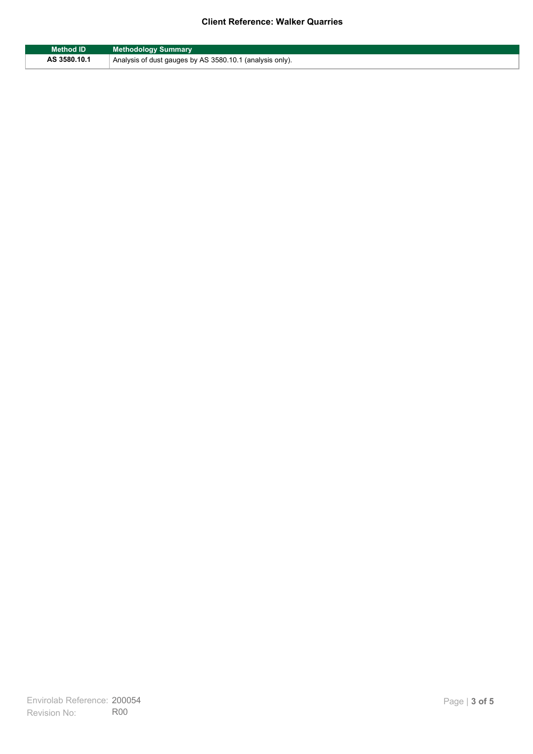## **Client Reference: Walker Quarries**

| <b>Method ID</b> | <b>Methodology Summary</b>                               |
|------------------|----------------------------------------------------------|
| AS 3580.10.1     | Analysis of dust gauges by AS 3580.10.1 (analysis only). |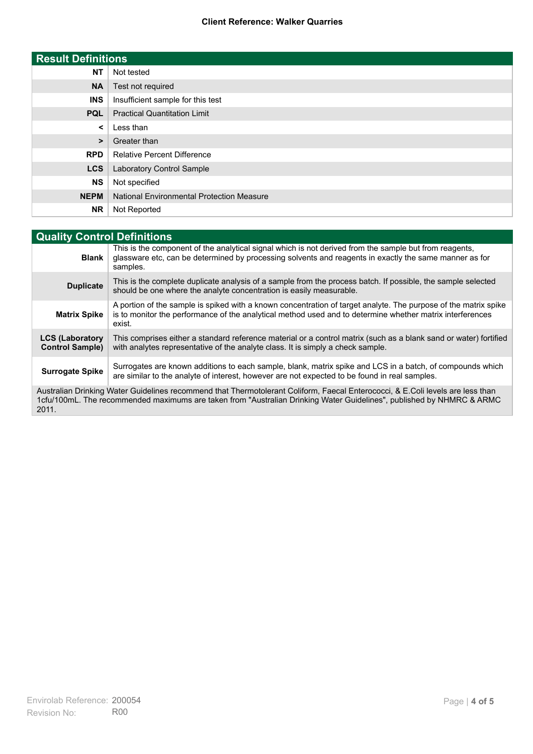## **Client Reference: Walker Quarries**

| <b>Result Definitions</b> |                                                  |
|---------------------------|--------------------------------------------------|
| <b>NT</b>                 | Not tested                                       |
| <b>NA</b>                 | Test not required                                |
| <b>INS</b>                | Insufficient sample for this test                |
| <b>PQL</b>                | <b>Practical Quantitation Limit</b>              |
| $\prec$                   | Less than                                        |
| >                         | Greater than                                     |
| <b>RPD</b>                | <b>Relative Percent Difference</b>               |
| <b>LCS</b>                | <b>Laboratory Control Sample</b>                 |
| <b>NS</b>                 | Not specified                                    |
| <b>NEPM</b>               | <b>National Environmental Protection Measure</b> |
| <b>NR</b>                 | Not Reported                                     |

| <b>Quality Control Definitions</b>                                                                                                                                                                                                                      |                                                                                                                                                                                                                                        |
|---------------------------------------------------------------------------------------------------------------------------------------------------------------------------------------------------------------------------------------------------------|----------------------------------------------------------------------------------------------------------------------------------------------------------------------------------------------------------------------------------------|
| <b>Blank</b>                                                                                                                                                                                                                                            | This is the component of the analytical signal which is not derived from the sample but from reagents,<br>glassware etc, can be determined by processing solvents and reagents in exactly the same manner as for<br>samples.           |
| <b>Duplicate</b>                                                                                                                                                                                                                                        | This is the complete duplicate analysis of a sample from the process batch. If possible, the sample selected<br>should be one where the analyte concentration is easily measurable.                                                    |
| <b>Matrix Spike</b>                                                                                                                                                                                                                                     | A portion of the sample is spiked with a known concentration of target analyte. The purpose of the matrix spike<br>is to monitor the performance of the analytical method used and to determine whether matrix interferences<br>exist. |
| <b>LCS (Laboratory</b><br><b>Control Sample)</b>                                                                                                                                                                                                        | This comprises either a standard reference material or a control matrix (such as a blank sand or water) fortified<br>with analytes representative of the analyte class. It is simply a check sample.                                   |
| <b>Surrogate Spike</b>                                                                                                                                                                                                                                  | Surrogates are known additions to each sample, blank, matrix spike and LCS in a batch, of compounds which<br>are similar to the analyte of interest, however are not expected to be found in real samples.                             |
| Australian Drinking Water Guidelines recommend that Thermotolerant Coliform, Faecal Enterococci, & E.Coli levels are less than<br>1cfu/100mL. The recommended maximums are taken from "Australian Drinking Water Guidelines", published by NHMRC & ARMC |                                                                                                                                                                                                                                        |

2011.